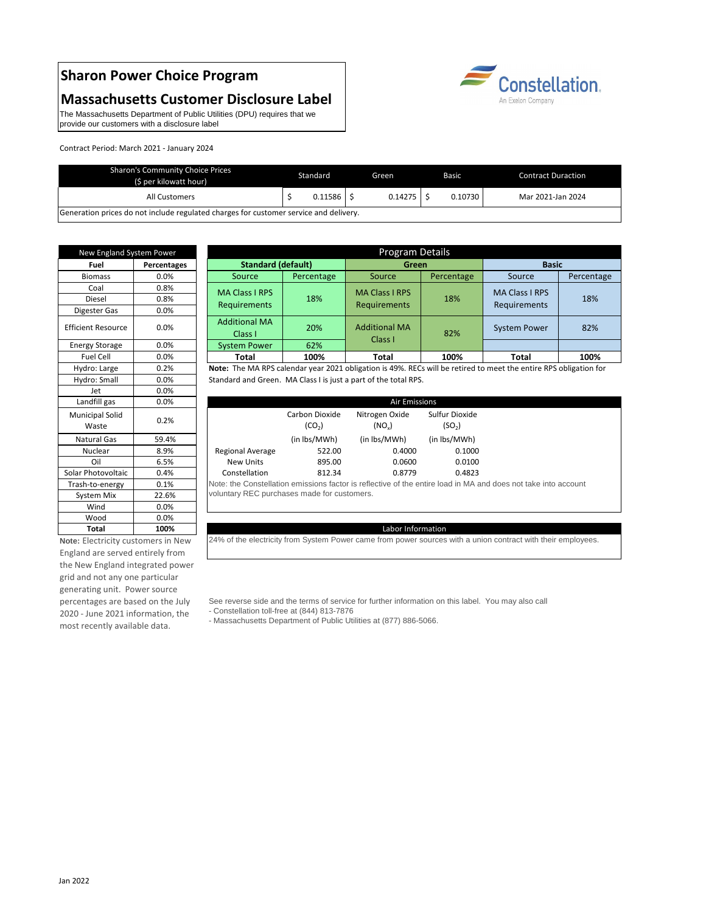# **Sharon Power Choice Program**

## **Massachusetts Customer Disclosure Label**

| New England System Power        |                    |                                        |
|---------------------------------|--------------------|----------------------------------------|
| <b>Fuel</b>                     | <b>Percentages</b> | <b>Standard (default)</b>              |
| <b>Biomass</b>                  | 0.0%               | Source<br>Percent                      |
| Coal                            | 0.8%               | <b>MA Class I RPS</b>                  |
| <b>Diesel</b>                   | 0.8%               | 18%                                    |
| Digester Gas                    | 0.0%               | Requirements                           |
| <b>Efficient Resource</b>       | 0.0%               | <b>Additional MA</b><br>20%<br>Class I |
| <b>Energy Storage</b>           | 0.0%               | 62%<br><b>System Power</b>             |
| <b>Fuel Cell</b>                | 0.0%               | 100%<br><b>Total</b>                   |
| Hydro: Large                    | 0.2%               | Note: The MA RPS calendar year         |
| Hydro: Small                    | 0.0%               | Standard and Green. MA Class I         |
| Jet                             | 0.0%               |                                        |
| Landfill gas                    | 0.0%               |                                        |
| <b>Municipal Solid</b><br>Waste | 0.2%               | Carbon Di<br>(CO <sub>2</sub> )        |
| <b>Natural Gas</b>              | 59.4%              | (in lbs/M                              |
| Nuclear                         | 8.9%               | <b>Regional Average</b><br>5           |
| Oil                             | 6.5%               | 8<br><b>New Units</b>                  |
| Solar Photovoltaic              | 0.4%               | 8<br>Constellation                     |
| Trash-to-energy                 | 0.1%               | Note: the Constellation emission       |
| System Mix                      | 22.6%              | voluntary REC purchases made           |
| Wind                            | 0.0%               |                                        |
| Wood                            | 0.0%               |                                        |
| <b>Total</b>                    | 100%               |                                        |
|                                 |                    |                                        |

| <b>Sharon's Community Choice Prices</b><br>(\$ per kilowatt hour)                     | Standard |         |  | Green   |  | <b>Basic</b> | <b>Contract Duraction</b> |                   |
|---------------------------------------------------------------------------------------|----------|---------|--|---------|--|--------------|---------------------------|-------------------|
| All Customers                                                                         |          | 0.11586 |  | 0.14275 |  | 0.10730      |                           | Mar 2021-Jan 2024 |
| Generation prices do not include regulated charges for customer service and delivery. |          |         |  |         |  |              |                           |                   |

24% of the electricity from System Power came from power sources with a union contract with their employees.

| New England System Power |             |                                 | Program Details |                                       |            |                       |            |  |  |
|--------------------------|-------------|---------------------------------|-----------------|---------------------------------------|------------|-----------------------|------------|--|--|
| Fuel                     | Percentages | <b>Standard (default)</b>       | <b>Green</b>    |                                       |            | <b>Basic</b>          |            |  |  |
| <b>Biomass</b>           | $0.0\%$     | Source                          | Percentage      | Source                                | Percentage | Source                | Percentage |  |  |
| Coal                     | 0.8%        | <b>MA Class I RPS</b>           | 18%             | <b>MA Class I RPS</b><br>Requirements | 18%        | <b>MA Class I RPS</b> | 18%        |  |  |
| Diesel                   | 0.8%        |                                 |                 |                                       |            |                       |            |  |  |
| igester Gas              | $0.0\%$     | <b>Requirements</b>             |                 |                                       |            | Requirements          |            |  |  |
| ient Resource            | 0.0%        | <b>Additional MA</b><br>Class I | 20%             | <b>Additional MA</b><br>Class I       | 82%        | <b>System Power</b>   | 82%        |  |  |
| ergy Storage             | $0.0\%$     | <b>System Power</b>             | 62%             |                                       |            |                       |            |  |  |
| <b>Fuel Cell</b>         | $0.0\%$     | <b>Total</b>                    | 100%            | <b>Total</b>                          | 100%       | <b>Total</b>          | 100%       |  |  |

The Massachusetts Department of Public Utilities (DPU) requires that we provide our customers with a disclosure label

Constellation. An Exelon Company

## Labor Information

**Note:** The MA RPS calendar year 2021 obligation is 49%. RECs will be retired to meet the entire RPS obligation for Standard and Green. MA Class I is just a part of the total RPS.

| Landfill gas                    | $0.0\%$ |                  | <b>Air Emissions</b>                                                                                           |                            |                                      |  |  |  |  |
|---------------------------------|---------|------------------|----------------------------------------------------------------------------------------------------------------|----------------------------|--------------------------------------|--|--|--|--|
| <b>Municipal Solid</b><br>Waste | 0.2%    |                  | Carbon Dioxide<br>(CO <sub>2</sub> )                                                                           | Nitrogen Oxide<br>$(NO_x)$ | Sulfur Dioxide<br>(SO <sub>2</sub> ) |  |  |  |  |
| Natural Gas                     | 59.4%   |                  | (in lbs/MWh)                                                                                                   | (in lbs/MWh)               | (in lbs/MWh)                         |  |  |  |  |
| Nuclear                         | 8.9%    | Regional Average | 522.00                                                                                                         | 0.4000                     | 0.1000                               |  |  |  |  |
| Oil                             | 6.5%    | New Units        | 895.00                                                                                                         | 0.0600                     | 0.0100                               |  |  |  |  |
| Solar Photovoltaic              | 0.4%    | Constellation    | 812.34                                                                                                         | 0.8779                     | 0.4823                               |  |  |  |  |
| Trash-to-energy                 | 0.1%    |                  | Note: the Constellation emissions factor is reflective of the entire load in MA and does not take into account |                            |                                      |  |  |  |  |
| System Mix                      | 22.6%   |                  | voluntary REC purchases made for customers.                                                                    |                            |                                      |  |  |  |  |

Contract Period: March 2021 - January 2024

**Note:** Electricity customers in New England are served entirely from the New England integrated power grid and not any one particular generating unit. Power source percentages are based on the July 2020 - June 2021 information, the most recently available data.

- See reverse side and the terms of service for further information on this label. You may also call
- Constellation toll-free at (844) 813-7876
- Massachusetts Department of Public Utilities at (877) 886-5066.

#### Jan 2022